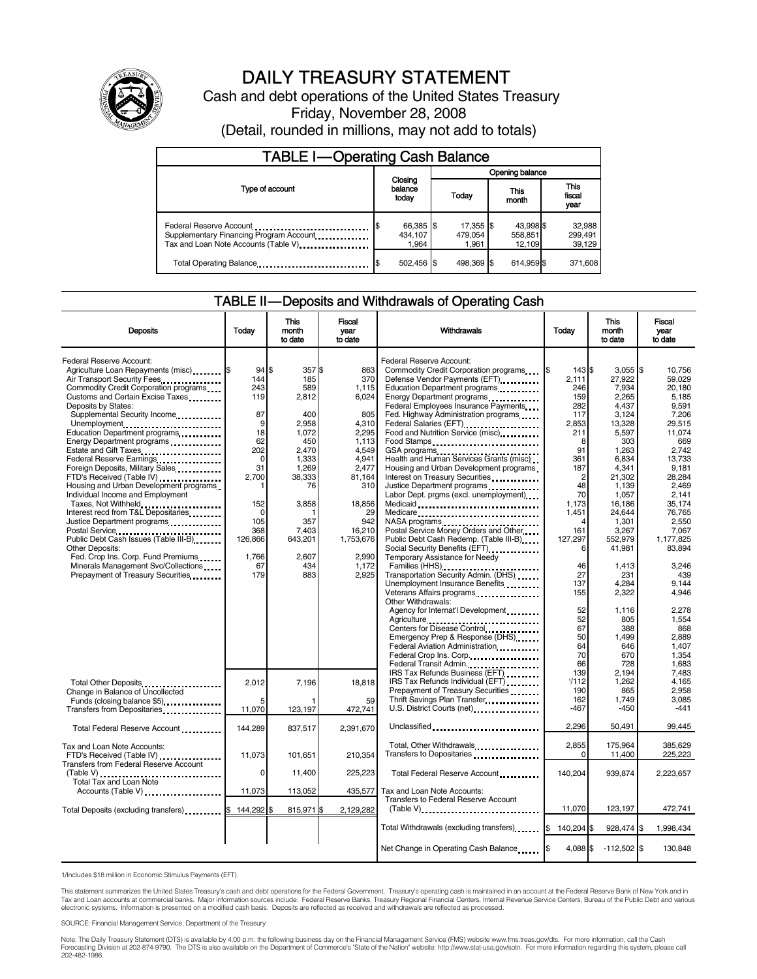

# DAILY TREASURY STATEMENT

Cash and debt operations of the United States Treasury Friday, November 28, 2008

| (Detail, rounded in millions, may not add to totals) |  |
|------------------------------------------------------|--|
|------------------------------------------------------|--|

| <b>TABLE I-Operating Cash Balance</b>                           |                               |                               |                                |                               |  |
|-----------------------------------------------------------------|-------------------------------|-------------------------------|--------------------------------|-------------------------------|--|
|                                                                 |                               |                               | Opening balance                |                               |  |
| Type of account                                                 | Closing<br>balance<br>today   | Today                         | This<br>month                  | <b>This</b><br>fiscal<br>year |  |
| Federal Reserve Account<br>Tax and Loan Note Accounts (Table V) | 66,385 \$<br>434.107<br>1.964 | 17,355 \$<br>479.054<br>1.961 | 43.998 \$<br>558,851<br>12.109 | 32,988<br>299,491<br>39,129   |  |
| Total Operating Balance                                         | 502,456                       | 498.369 \$                    | 614,959 \$                     | 371,608                       |  |

#### TABLE II — Deposits and Withdrawals of Operating Cash

| <b>Deposits</b>                                                                 | Today           | This<br>month<br>to date | Fiscal<br>vear<br>to date | Withdrawals                                                                                           | Today             | <b>This</b><br>month<br>to date | Fiscal<br>vear<br>to date |
|---------------------------------------------------------------------------------|-----------------|--------------------------|---------------------------|-------------------------------------------------------------------------------------------------------|-------------------|---------------------------------|---------------------------|
| <b>Federal Reserve Account:</b><br>Agriculture Loan Repayments (misc) <b>\$</b> | 94              | \$<br>357\$              | 863                       | Federal Reserve Account:<br>Commodity Credit Corporation programs                                     | Ι\$<br>143 \$     | $3,055$ \$                      | 10,756                    |
| Air Transport Security Fees.<br>Commodity Credit Corporation programs           | 144<br>243      | 185<br>589               | 370<br>1,115              | Defense Vendor Payments (EFT)<br>Education Department programs                                        | 2.111<br>246      | 27.922<br>7,934                 | 59.029<br>20.180          |
| Customs and Certain Excise Taxes                                                | 119             | 2,812                    | 6.024                     | Energy Department programs                                                                            | 159               | 2.265                           | 5.185                     |
| Deposits by States:<br>Supplemental Security Income                             | 87              | 400                      | 805                       | Federal Employees Insurance Payments<br>Fed. Highway Administration programs                          | 282<br>117        | 4.437<br>3,124                  | 9.591<br>7,206            |
| Unemployment<br>Education Department programs                                   | 9<br>18         | 2,958<br>1,072           | 4,310<br>2,295            | Federal Salaries (EFT)<br>1999 - The Marine Salaries (EFT)<br>Food and Nutrition Service (misc) [100] | 2,853<br>211      | 13,328<br>5,597                 | 29,515<br>11,074          |
| Energy Department programs                                                      | 62              | 450                      | 1,113                     | Food Stamps                                                                                           | 8                 | 303                             | 669                       |
| Estate and Gift Taxes<br>Federal Reserve Earnings                               | 202<br>$\Omega$ | 2.470<br>1.333           | 4,549<br>4.941            | Health and Human Services Grants (misc)                                                               | 91<br>361         | 1,263<br>6.834                  | 2.742<br>13.733           |
| Foreign Deposits, Military Sales<br>FTD's Received (Table IV)                   | 31<br>2,700     | 1,269<br>38,333          | 2.477<br>81,164           | Housing and Urban Development programs<br>Interest on Treasury Securities                             | 187<br>2          | 4,341<br>21,302                 | 9,181<br>28,284           |
| Housing and Urban Development programs                                          |                 | 76                       | 310                       | Justice Department programs                                                                           | 48                | 1,139                           | 2,469                     |
| Individual Income and Employment<br>Taxes, Not Withheld                         | 152             | 3,858                    | 18,856                    | Labor Dept. prgms (excl. unemployment)<br>Medicaid                                                    | 70<br>1.173       | 1,057<br>16,186                 | 2,141<br>35,174           |
| Interest recd from T&L Depositaries<br>Justice Department programs              | 0<br>105        | 357                      | 29<br>942                 | Medicare<br>NASA programs                                                                             | 1.451             | 24.644<br>1,301                 | 76.765<br>2,550           |
|                                                                                 | 368             | 7,403                    | 16,210                    | Postal Service Money Orders and Other                                                                 | 161               | 3,267                           | 7.067                     |
| Public Debt Cash Issues (Table III-B)<br><b>Other Deposits:</b>                 | 126,866         | 643,201                  | 1,753,676                 | Public Debt Cash Redemp. (Table III-B)                                                                | 127,297<br>6      | 552,979<br>41,981               | 1,177,825<br>83,894       |
| Fed. Crop Ins. Corp. Fund Premiums<br>Minerals Management Svc/Collections       | 1,766<br>67     | 2,607<br>434             | 2.990<br>1,172            | Temporary Assistance for Needy<br>Families (HHS)                                                      | 46                | 1,413                           | 3,246                     |
| Prepayment of Treasury Securities                                               | 179             | 883                      | 2,925                     | Transportation Security Admin. (DHS)                                                                  | 27                | 231                             | 439                       |
|                                                                                 |                 |                          |                           | Unemployment Insurance Benefits<br>Veterans Affairs programs                                          | 137<br>155        | 4.284<br>2,322                  | 9.144<br>4.946            |
|                                                                                 |                 |                          |                           | Other Withdrawals:<br>Agency for Internat'l Development                                               | 52                | 1,116                           | 2,278                     |
|                                                                                 |                 |                          |                           | Agriculture                                                                                           | 52                | 805                             | 1.554                     |
|                                                                                 |                 |                          |                           | Centers for Disease Control<br>Emergency Prep & Response (DHS)                                        | 67<br>50          | 388<br>1,499                    | 868<br>2,889              |
|                                                                                 |                 |                          |                           | Federal Aviation Administration<br>Federal Crop Ins. Corp.                                            | 64<br>70          | 646<br>670                      | 1,407<br>1.354            |
|                                                                                 |                 |                          |                           | Federal Transit Admin                                                                                 | 66                | 728                             | 1.683                     |
| Total Other Deposits                                                            | 2,012           | 7,196                    | 18,818                    | IRS Tax Refunds Business (EFT)<br>IRS Tax Refunds Individual (EFT)                                    | 139<br>1/112      | 2.194<br>1,262                  | 7.483<br>4.165            |
| Change in Balance of Uncollected<br>Funds (closing balance \$5)                 |                 |                          | 59                        | Prepayment of Treasury Securities                                                                     | 190<br>162        | 865<br>1,749                    | 2,958<br>3,085            |
| Transfers from Depositaries                                                     | 11,070          | 123,197                  | 472,741                   | U.S. District Courts (net)                                                                            | $-467$            | $-450$                          | $-441$                    |
| Total Federal Reserve Account                                                   | 144.289         | 837,517                  | 2.391.670                 | Unclassified                                                                                          | 2,296             | 50,491                          | 99,445                    |
| Tax and Loan Note Accounts:<br>FTD's Received (Table IV)                        | 11,073          | 101,651                  | 210,354                   | Total, Other Withdrawals<br>Transfers to Depositaries                                                 | 2,855<br>$\Omega$ | 175.964<br>11,400               | 385.629<br>225,223        |
| Transfers from Federal Reserve Account<br>Total Tax and Loan Note               | 0               | 11,400                   | 225,223                   | Total Federal Reserve Account                                                                         | 140,204           | 939,874                         | 2,223,657                 |
| Accounts (Table V)                                                              | 11.073          | 113,052                  | 435,577                   | Tax and Loan Note Accounts:                                                                           |                   |                                 |                           |
| Total Deposits (excluding transfers) [1999]                                     | 144,292         | 815,971                  | 2,129,282                 | Transfers to Federal Reserve Account<br>$(Table V)$                                                   | 11,070            | 123,197                         | 472,741                   |
|                                                                                 |                 |                          |                           | Total Withdrawals (excluding transfers) [8]                                                           | 140,204 \$        | 928,474 \$                      | 1,998,434                 |
|                                                                                 |                 |                          |                           | Net Change in Operating Cash Balance                                                                  | 4,088 \$<br>I\$   | $-112,502$ \$                   | 130,848                   |

1/Includes \$18 million in Economic Stimulus Payments (EFT).

This statement summarizes the United States Treasury's cash and debt operations for the Federal Government. Treasury's operating cash is maintained in an account at the Federal Reserve Bank of New York and in Tax and Loan accounts at commercial banks. Major information sources include: Federal Reserve Banks, Treasury Regional Financial Centers, Internal Revenue Service Centers, Bureau of the Public Debt and various<br>electronic s

SOURCE: Financial Management Service, Department of the Treasury

Note: The Daily Treasury Statement (DTS) is available by 4:00 p.m. the following business day on the Financial Management Service (FMS) website www.fms.treas.gov/dts. For more information, call the Cash<br>Forecasting Divisio eas.gov/dts. F<br>For more infor